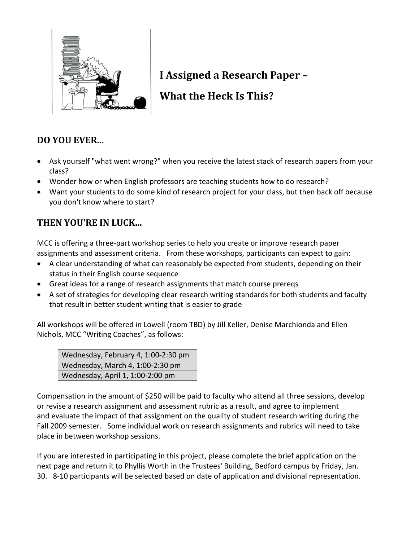

# **I Assigned a Research Paper –**

## **What the Heck Is This?**

### **DO YOU EVER...**

- Ask yourself "what went wrong?" when you receive the latest stack of research papers from your class?
- Wonder how or when English professors are teaching students how to do research?
- Want your students to do some kind of research project for your class, but then back off because you don't know where to start?

### **THEN YOU'RE IN LUCK...**

MCC is offering a three-part workshop series to help you create or improve research paper assignments and assessment criteria. From these workshops, participants can expect to gain:

- A clear understanding of what can reasonably be expected from students, depending on their status in their English course sequence
- Great ideas for a range of research assignments that match course prereqs
- A set of strategies for developing clear research writing standards for both students and faculty that result in better student writing that is easier to grade

All workshops will be offered in Lowell (room TBD) by Jill Keller, Denise Marchionda and Ellen Nichols, MCC "Writing Coaches", as follows:

| Wednesday, February 4, 1:00-2:30 pm |
|-------------------------------------|
| Wednesday, March 4, 1:00-2:30 pm    |
| Wednesday, April 1, 1:00-2:00 pm    |

Compensation in the amount of \$250 will be paid to faculty who attend all three sessions, develop or revise a research assignment and assessment rubric as a result, and agree to implement and evaluate the impact of that assignment on the quality of student research writing during the Fall 2009 semester. Some individual work on research assignments and rubrics will need to take place in between workshop sessions.

If you are interested in participating in this project, please complete the brief application on the next page and return it to Phyllis Worth in the Trustees' Building, Bedford campus by Friday, Jan. 30. 8-10 participants will be selected based on date of application and divisional representation.